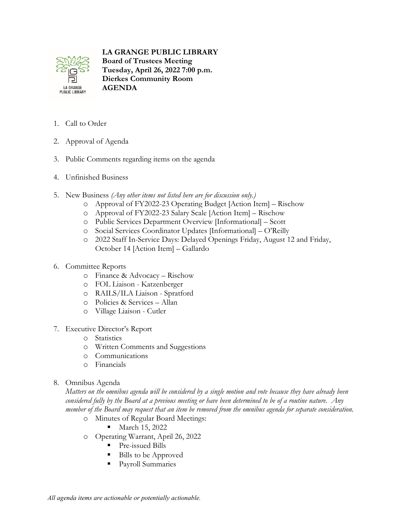

## **LA GRANGE PUBLIC LIBRARY**

**Board of Trustees Meeting Tuesday, April 26, 2022 7:00 p.m. Dierkes Community Room AGENDA**

- 1. Call to Order
- 2. Approval of Agenda
- 3. Public Comments regarding items on the agenda
- 4. Unfinished Business
- 5. New Business *(Any other items not listed here are for discussion only.)*
	- o Approval of FY2022-23 Operating Budget [Action Item] Rischow
	- o Approval of FY2022-23 Salary Scale [Action Item] Rischow
	- o Public Services Department Overview [Informational] Scott
	- o Social Services Coordinator Updates [Informational] O'Reilly
	- o 2022 Staff In-Service Days: Delayed Openings Friday, August 12 and Friday, October 14 [Action Item] – Gallardo
- 6. Committee Reports
	- o Finance & Advocacy Rischow
	- o FOL Liaison Katzenberger
	- o RAILS/ILA Liaison Spratford
	- o Policies & Services Allan
	- o Village Liaison Cutler
- 7. Executive Director's Report
	- o Statistics
	- o Written Comments and Suggestions
	- o Communications
	- o Financials
- 8. Omnibus Agenda

*Matters on the omnibus agenda will be considered by a single motion and vote because they have already been considered fully by the Board at a previous meeting or have been determined to be of a routine nature. Any member of the Board may request that an item be removed from the omnibus agenda for separate consideration.*

- o Minutes of Regular Board Meetings:
	- **March 15, 2022**
- o Operating Warrant, April 26, 2022
	- **Pre-issued Bills**
	- Bills to be Approved
	- Payroll Summaries